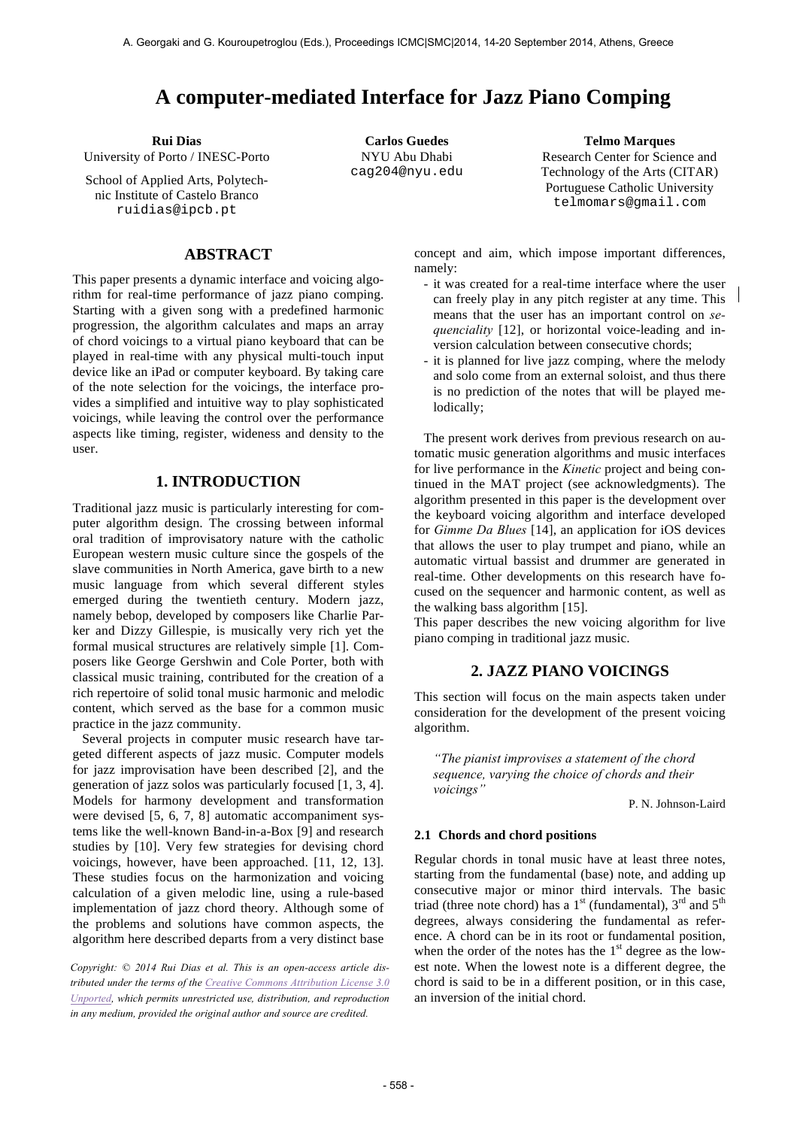# **A computer-mediated Interface for Jazz Piano Comping**

University of Porto / INESC-Porto

School of Applied Arts, Polytechnic Institute of Castelo Branco ruidias@ipcb.pt

# **ABSTRACT**

This paper presents a dynamic interface and voicing algorithm for real-time performance of jazz piano comping. Starting with a given song with a predefined harmonic progression, the algorithm calculates and maps an array of chord voicings to a virtual piano keyboard that can be played in real-time with any physical multi-touch input device like an iPad or computer keyboard. By taking care of the note selection for the voicings, the interface provides a simplified and intuitive way to play sophisticated voicings, while leaving the control over the performance aspects like timing, register, wideness and density to the user.

# **1. INTRODUCTION**

Traditional jazz music is particularly interesting for computer algorithm design. The crossing between informal oral tradition of improvisatory nature with the catholic European western music culture since the gospels of the slave communities in North America, gave birth to a new music language from which several different styles emerged during the twentieth century. Modern jazz, namely bebop, developed by composers like Charlie Parker and Dizzy Gillespie, is musically very rich yet the formal musical structures are relatively simple [1]. Composers like George Gershwin and Cole Porter, both with classical music training, contributed for the creation of a rich repertoire of solid tonal music harmonic and melodic content, which served as the base for a common music practice in the jazz community.

Several projects in computer music research have targeted different aspects of jazz music. Computer models for jazz improvisation have been described [2], and the generation of jazz solos was particularly focused [1, 3, 4]. Models for harmony development and transformation were devised [5, 6, 7, 8] automatic accompaniment systems like the well-known Band-in-a-Box [9] and research studies by [10]. Very few strategies for devising chord voicings, however, have been approached. [11, 12, 13]. These studies focus on the harmonization and voicing calculation of a given melodic line, using a rule-based implementation of jazz chord theory. Although some of the problems and solutions have common aspects, the algorithm here described departs from a very distinct base

*Copyright: © 2014 Rui Dias et al. This is an open-access article distributed under the terms of the Creative Commons Attribution License 3.0 Unported, which permits unrestricted use, distribution, and reproduction in any medium, provided the original author and source are credited.*

NYU Abu Dhabi cag204@nyu.edu

**Rui Dias Carlos Guedes Telmo Marques** Research Center for Science and Technology of the Arts (CITAR) Portuguese Catholic University telmomars@gmail.com

> concept and aim, which impose important differences, namely:

- it was created for a real-time interface where the user can freely play in any pitch register at any time. This means that the user has an important control on *sequenciality* [12], or horizontal voice-leading and inversion calculation between consecutive chords;
- it is planned for live jazz comping, where the melody and solo come from an external soloist, and thus there is no prediction of the notes that will be played melodically;

The present work derives from previous research on automatic music generation algorithms and music interfaces for live performance in the *Kinetic* project and being continued in the MAT project (see acknowledgments). The algorithm presented in this paper is the development over the keyboard voicing algorithm and interface developed for *Gimme Da Blues* [14], an application for iOS devices that allows the user to play trumpet and piano, while an automatic virtual bassist and drummer are generated in real-time. Other developments on this research have focused on the sequencer and harmonic content, as well as the walking bass algorithm [15].

This paper describes the new voicing algorithm for live piano comping in traditional jazz music.

# **2. JAZZ PIANO VOICINGS**

This section will focus on the main aspects taken under consideration for the development of the present voicing algorithm.

*"The pianist improvises a statement of the chord sequence, varying the choice of chords and their voicings"*

P. N. Johnson-Laird

# **2.1 Chords and chord positions**

Regular chords in tonal music have at least three notes, starting from the fundamental (base) note, and adding up consecutive major or minor third intervals. The basic triad (three note chord) has a  $1<sup>st</sup>$  (fundamental),  $3<sup>rd</sup>$  and  $5<sup>th</sup>$ degrees, always considering the fundamental as reference. A chord can be in its root or fundamental position, when the order of the notes has the  $1<sup>st</sup>$  degree as the lowest note. When the lowest note is a different degree, the chord is said to be in a different position, or in this case, an inversion of the initial chord.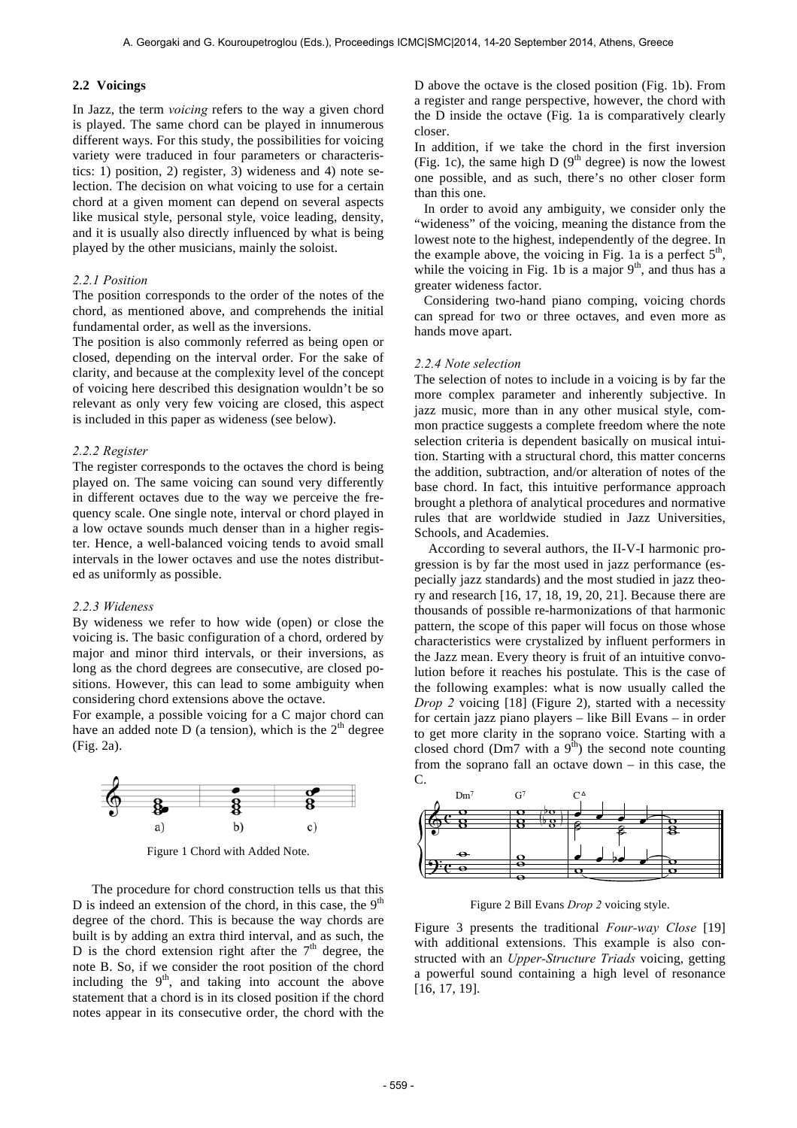## **2.2 Voicings**

In Jazz, the term *voicing* refers to the way a given chord is played. The same chord can be played in innumerous different ways. For this study, the possibilities for voicing variety were traduced in four parameters or characteristics: 1) position, 2) register, 3) wideness and 4) note selection. The decision on what voicing to use for a certain chord at a given moment can depend on several aspects like musical style, personal style, voice leading, density, and it is usually also directly influenced by what is being played by the other musicians, mainly the soloist.

## *2.2.1 Position*

The position corresponds to the order of the notes of the chord, as mentioned above, and comprehends the initial fundamental order, as well as the inversions.

The position is also commonly referred as being open or closed, depending on the interval order. For the sake of clarity, and because at the complexity level of the concept of voicing here described this designation wouldn't be so relevant as only very few voicing are closed, this aspect is included in this paper as wideness (see below).

## *2.2.2 Register*

The register corresponds to the octaves the chord is being played on. The same voicing can sound very differently in different octaves due to the way we perceive the frequency scale. One single note, interval or chord played in a low octave sounds much denser than in a higher register. Hence, a well-balanced voicing tends to avoid small intervals in the lower octaves and use the notes distributed as uniformly as possible.

# *2.2.3 Wideness*

By wideness we refer to how wide (open) or close the voicing is. The basic configuration of a chord, ordered by major and minor third intervals, or their inversions, as long as the chord degrees are consecutive, are closed positions. However, this can lead to some ambiguity when considering chord extensions above the octave.

For example, a possible voicing for a C major chord can have an added note D (a tension), which is the  $2<sup>th</sup>$  degree (Fig. 2a).



Figure 1 Chord with Added Note.

The procedure for chord construction tells us that this D is indeed an extension of the chord, in this case, the  $9<sup>th</sup>$ degree of the chord. This is because the way chords are built is by adding an extra third interval, and as such, the D is the chord extension right after the  $7<sup>th</sup>$  degree, the note B. So, if we consider the root position of the chord including the  $9<sup>th</sup>$ , and taking into account the above statement that a chord is in its closed position if the chord notes appear in its consecutive order, the chord with the D above the octave is the closed position (Fig. 1b). From a register and range perspective, however, the chord with the D inside the octave (Fig. 1a is comparatively clearly closer.

In addition, if we take the chord in the first inversion (Fig. 1c), the same high D  $(9<sup>th</sup>$  degree) is now the lowest one possible, and as such, there's no other closer form than this one.

In order to avoid any ambiguity, we consider only the "wideness" of the voicing, meaning the distance from the lowest note to the highest, independently of the degree. In the example above, the voicing in Fig. 1a is a perfect  $5<sup>th</sup>$ , while the voicing in Fig. 1b is a major  $9<sup>th</sup>$ , and thus has a greater wideness factor.

Considering two-hand piano comping, voicing chords can spread for two or three octaves, and even more as hands move apart.

## *2.2.4 Note selection*

The selection of notes to include in a voicing is by far the more complex parameter and inherently subjective. In jazz music, more than in any other musical style, common practice suggests a complete freedom where the note selection criteria is dependent basically on musical intuition. Starting with a structural chord, this matter concerns the addition, subtraction, and/or alteration of notes of the base chord. In fact, this intuitive performance approach brought a plethora of analytical procedures and normative rules that are worldwide studied in Jazz Universities, Schools, and Academies.

According to several authors, the II-V-I harmonic progression is by far the most used in jazz performance (especially jazz standards) and the most studied in jazz theory and research [16, 17, 18, 19, 20, 21]. Because there are thousands of possible re-harmonizations of that harmonic pattern, the scope of this paper will focus on those whose characteristics were crystalized by influent performers in the Jazz mean. Every theory is fruit of an intuitive convolution before it reaches his postulate. This is the case of the following examples: what is now usually called the *Drop 2* voicing [18] (Figure 2), started with a necessity for certain jazz piano players – like Bill Evans – in order to get more clarity in the soprano voice. Starting with a closed chord (Dm7 with a  $9<sup>th</sup>$ ) the second note counting from the soprano fall an octave down  $-$  in this case, the C.



Figure 2 Bill Evans *Drop 2* voicing style.

Figure 3 presents the traditional *Four-way Close* [19] with additional extensions. This example is also constructed with an *Upper-Structure Triads* voicing, getting a powerful sound containing a high level of resonance [16, 17, 19].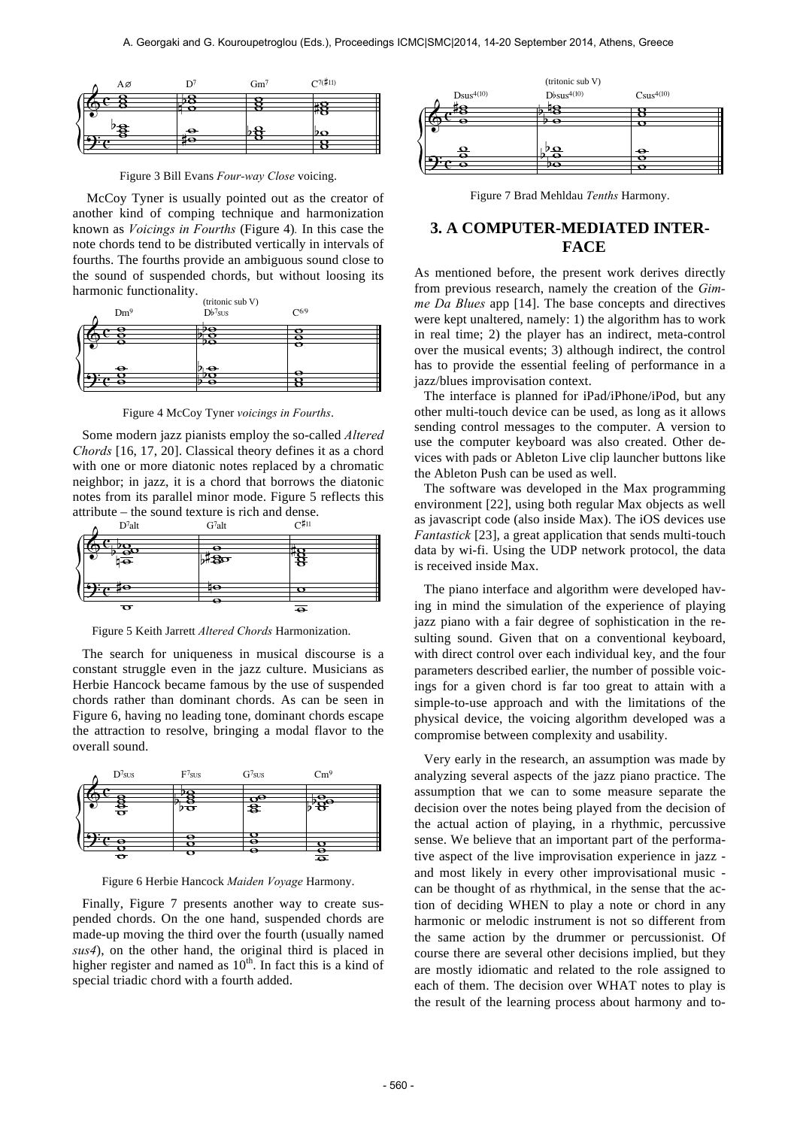| Αø |           | $Gm^7$ | $C^{7(\frac{4}{7}11)}$ |  |
|----|-----------|--------|------------------------|--|
|    |           |        |                        |  |
|    |           |        | <u>ی است</u>           |  |
|    |           |        |                        |  |
| 8  | $\bullet$ |        | DΟ                     |  |
|    |           |        |                        |  |

Figure 3 Bill Evans *Four-way Close* voicing.

McCoy Tyner is usually pointed out as the creator of another kind of comping technique and harmonization known as *Voicings in Fourths* (Figure 4)*.* In this case the note chords tend to be distributed vertically in intervals of fourths. The fourths provide an ambiguous sound close to the sound of suspended chords, but without loosing its harmonic functionality.



Figure 4 McCoy Tyner *voicings in Fourths*.

Some modern jazz pianists employ the so-called *Altered Chords* [16, 17, 20]. Classical theory defines it as a chord with one or more diatonic notes replaced by a chromatic neighbor; in jazz, it is a chord that borrows the diatonic notes from its parallel minor mode. Figure 5 reflects this attribute – the sound texture is rich and dense.



Figure 5 Keith Jarrett *Altered Chords* Harmonization.

The search for uniqueness in musical discourse is a constant struggle even in the jazz culture. Musicians as Herbie Hancock became famous by the use of suspended chords rather than dominant chords. As can be seen in Figure 6, having no leading tone, dominant chords escape Figure 0, having no reading tone, dominant enotes escape the attraction to resolve, bringing a modal flavor to the overall sound.



Figure 6 Herbie Hancock *Maiden Voyage* Harmony.

Finally, Figure 7 presents another way to create suspended chords. On the one hand, suspended chords are made-up moving the third over the fourth (usually named *sus4*), on the other hand, the original third is placed in higher register and named as  $10<sup>th</sup>$ . In fact this is a kind of special triadic chord with a fourth added.



Figure 7 Brad Mehldau *Tenths* Harmony.

# **3. A COMPUTER-MEDIATED INTER-FACE**

As mentioned before, the present work derives directly from previous research, namely the creation of the *Gimme Da Blues* app [14]. The base concepts and directives were kept unaltered, namely: 1) the algorithm has to work in real time; 2) the player has an indirect, meta-control over the musical events; 3) although indirect, the control has to provide the essential feeling of performance in a jazz/blues improvisation context.

The interface is planned for iPad/iPhone/iPod, but any other multi-touch device can be used, as long as it allows sending control messages to the computer. A version to use the computer keyboard was also created. Other devices with pads or Ableton Live clip launcher buttons like the Ableton Push can be used as well.

The software was developed in the Max programming environment [22], using both regular Max objects as well as javascript code (also inside Max). The iOS devices use *Fantastick* [23], a great application that sends multi-touch data by wi-fi. Using the UDP network protocol, the data is received inside Max.

The piano interface and algorithm were developed having in mind the simulation of the experience of playing jazz piano with a fair degree of sophistication in the resulting sound. Given that on a conventional keyboard, with direct control over each individual key, and the four parameters described earlier, the number of possible voicings for a given chord is far too great to attain with a simple-to-use approach and with the limitations of the physical device, the voicing algorithm developed was a compromise between complexity and usability.

Very early in the research, an assumption was made by analyzing several aspects of the jazz piano practice. The assumption that we can to some measure separate the decision over the notes being played from the decision of the actual action of playing, in a rhythmic, percussive sense. We believe that an important part of the performative aspect of the live improvisation experience in jazz and most likely in every other improvisational music can be thought of as rhythmical, in the sense that the action of deciding WHEN to play a note or chord in any harmonic or melodic instrument is not so different from the same action by the drummer or percussionist. Of course there are several other decisions implied, but they are mostly idiomatic and related to the role assigned to each of them. The decision over WHAT notes to play is the result of the learning process about harmony and to-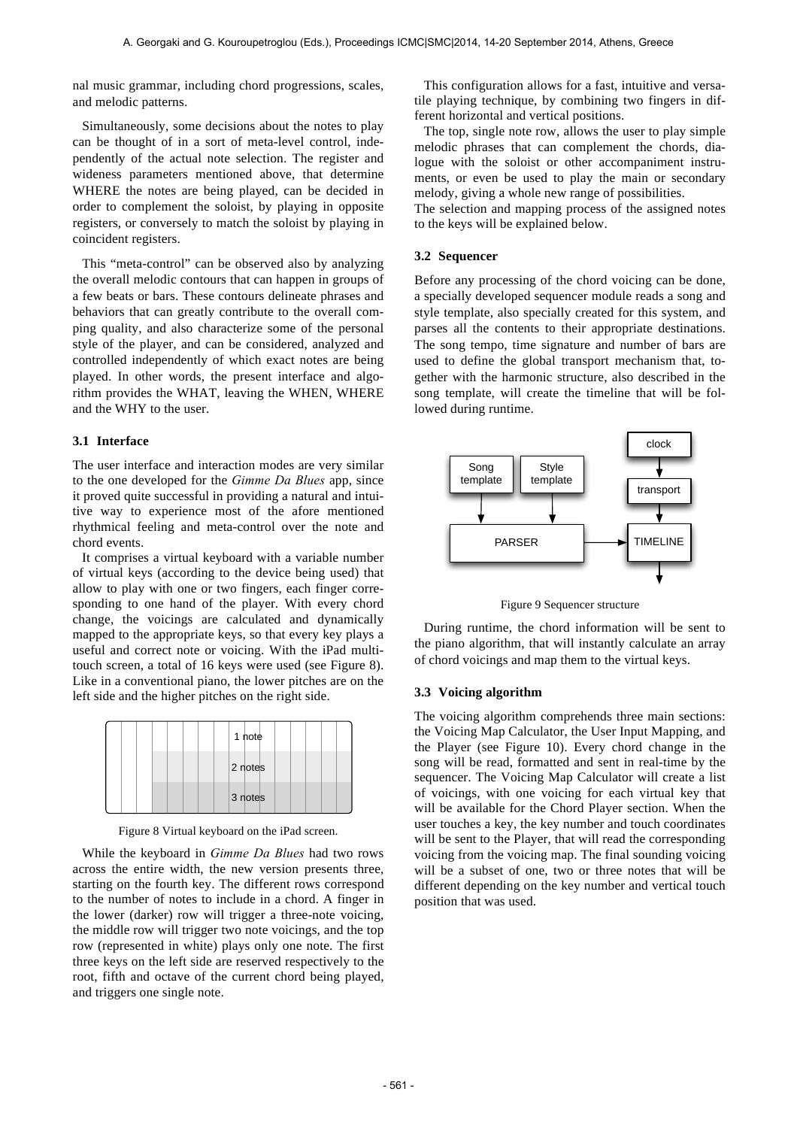nal music grammar, including chord progressions, scales, and melodic patterns.

Simultaneously, some decisions about the notes to play can be thought of in a sort of meta-level control, independently of the actual note selection. The register and wideness parameters mentioned above, that determine WHERE the notes are being played, can be decided in order to complement the soloist, by playing in opposite registers, or conversely to match the soloist by playing in coincident registers.

This "meta-control" can be observed also by analyzing the overall melodic contours that can happen in groups of a few beats or bars. These contours delineate phrases and behaviors that can greatly contribute to the overall comping quality, and also characterize some of the personal style of the player, and can be considered, analyzed and controlled independently of which exact notes are being played. In other words, the present interface and algorithm provides the WHAT, leaving the WHEN, WHERE and the WHY to the user.

# **3.1 Interface**

The user interface and interaction modes are very similar to the one developed for the *Gimme Da Blues* app, since it proved quite successful in providing a natural and intuitive way to experience most of the afore mentioned rhythmical feeling and meta-control over the note and chord events.

It comprises a virtual keyboard with a variable number of virtual keys (according to the device being used) that allow to play with one or two fingers, each finger corresponding to one hand of the player. With every chord change, the voicings are calculated and dynamically mapped to the appropriate keys, so that every key plays a useful and correct note or voicing. With the iPad multitouch screen, a total of 16 keys were used (see Figure 8). Like in a conventional piano, the lower pitches are on the left side and the higher pitches on the right side.

|  |  | 1 note  |  |  |  |
|--|--|---------|--|--|--|
|  |  | 2 notes |  |  |  |
|  |  | 3 notes |  |  |  |

Figure 8 Virtual keyboard on the iPad screen.

While the keyboard in *Gimme Da Blues* had two rows across the entire width, the new version presents three, starting on the fourth key. The different rows correspond to the number of notes to include in a chord. A finger in the lower (darker) row will trigger a three-note voicing, the middle row will trigger two note voicings, and the top row (represented in white) plays only one note. The first three keys on the left side are reserved respectively to the root, fifth and octave of the current chord being played, and triggers one single note.

This configuration allows for a fast, intuitive and versatile playing technique, by combining two fingers in different horizontal and vertical positions.

The top, single note row, allows the user to play simple melodic phrases that can complement the chords, dialogue with the soloist or other accompaniment instruments, or even be used to play the main or secondary melody, giving a whole new range of possibilities.

The selection and mapping process of the assigned notes to the keys will be explained below.

# **3.2 Sequencer**

Before any processing of the chord voicing can be done, a specially developed sequencer module reads a song and style template, also specially created for this system, and parses all the contents to their appropriate destinations. The song tempo, time signature and number of bars are used to define the global transport mechanism that, together with the harmonic structure, also described in the song template, will create the timeline that will be followed during runtime.



Figure 9 Sequencer structure

During runtime, the chord information will be sent to the piano algorithm, that will instantly calculate an array of chord voicings and map them to the virtual keys.

# **3.3 Voicing algorithm**

The voicing algorithm comprehends three main sections: the Voicing Map Calculator, the User Input Mapping, and the Player (see Figure 10). Every chord change in the song will be read, formatted and sent in real-time by the sequencer. The Voicing Map Calculator will create a list of voicings, with one voicing for each virtual key that will be available for the Chord Player section. When the user touches a key, the key number and touch coordinates will be sent to the Player, that will read the corresponding voicing from the voicing map. The final sounding voicing will be a subset of one, two or three notes that will be different depending on the key number and vertical touch position that was used.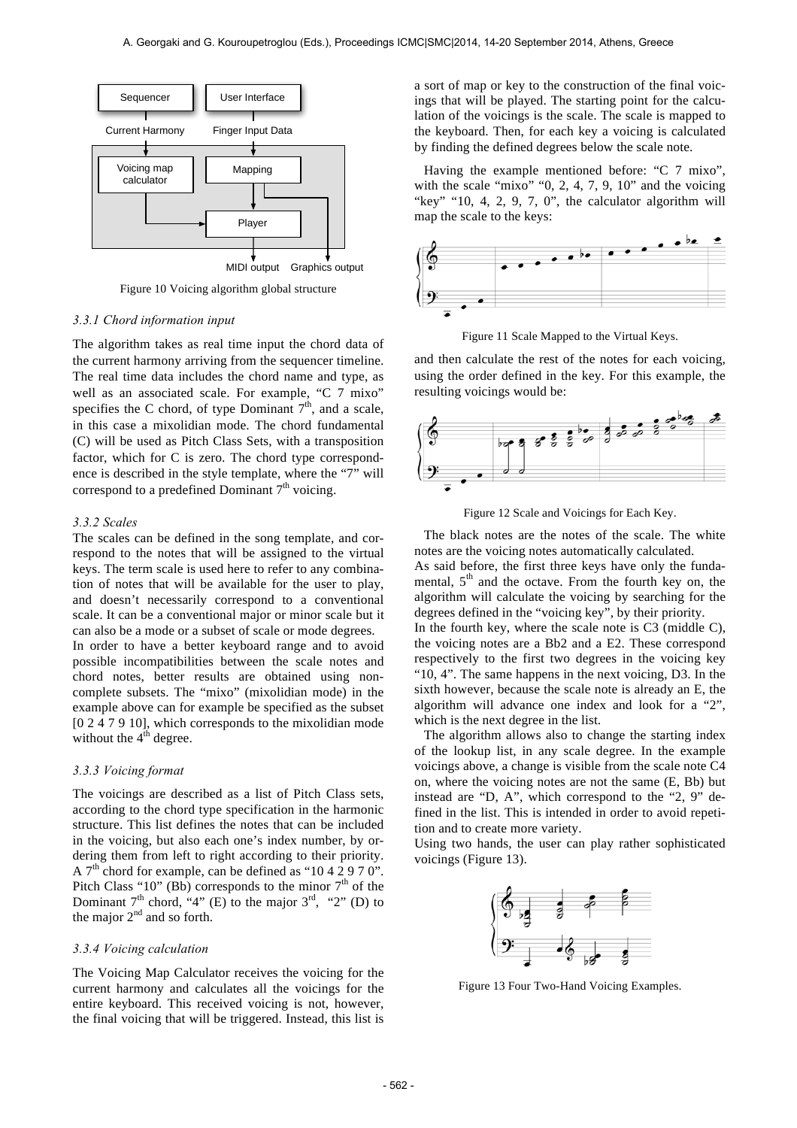

Figure 10 Voicing algorithm global structure

#### *3.3.1 Chord information input*

The algorithm takes as real time input the chord data of the current harmony arriving from the sequencer timeline. The real time data includes the chord name and type, as well as an associated scale. For example, "C 7 mixo" specifies the C chord, of type Dominant  $7<sup>th</sup>$ , and a scale, in this case a mixolidian mode. The chord fundamental (C) will be used as Pitch Class Sets, with a transposition factor, which for C is zero. The chord type correspondence is described in the style template, where the "7" will correspond to a predefined Dominant  $7<sup>th</sup>$  voicing.

#### *3.3.2 Scales*

The scales can be defined in the song template, and correspond to the notes that will be assigned to the virtual keys. The term scale is used here to refer to any combination of notes that will be available for the user to play, and doesn't necessarily correspond to a conventional scale. It can be a conventional major or minor scale but it can also be a mode or a subset of scale or mode degrees. In order to have a better keyboard range and to avoid possible incompatibilities between the scale notes and chord notes, better results are obtained using noncomplete subsets. The "mixo" (mixolidian mode) in the example above can for example be specified as the subset [0 2 4 7 9 10], which corresponds to the mixolidian mode without the  $4<sup>th</sup>$  degree.

#### *3.3.3 Voicing format*

The voicings are described as a list of Pitch Class sets, according to the chord type specification in the harmonic structure. This list defines the notes that can be included in the voicing, but also each one's index number, by ordering them from left to right according to their priority. A  $7<sup>th</sup>$  chord for example, can be defined as "10 4 2 9 7 0". Pitch Class "10" (Bb) corresponds to the minor  $7<sup>th</sup>$  of the Dominant  $7<sup>th</sup>$  chord, "4" (E) to the major  $3<sup>rd</sup>$ , "2" (D) to the major  $2<sup>nd</sup>$  and so forth.

## *3.3.4 Voicing calculation*

The Voicing Map Calculator receives the voicing for the current harmony and calculates all the voicings for the entire keyboard. This received voicing is not, however, the final voicing that will be triggered. Instead, this list is

a sort of map or key to the construction of the final voicings that will be played. The starting point for the calculation of the voicings is the scale. The scale is mapped to the keyboard. Then, for each key a voicing is calculated by finding the defined degrees below the scale note.

Having the example mentioned before: "C 7 mixo", with the scale "mixo" "0, 2, 4, 7, 9,  $10$ " and the voicing "key" "10, 4, 2, 9, 7, 0", the calculator algorithm will map the scale to the keys:



Figure 11 Scale Mapped to the Virtual Keys.

and then calculate the rest of the notes for each voicing, using the order defined in the key. For this example, the resulting voicings would be:



Figure 12 Scale and Voicings for Each Key.

The black notes are the notes of the scale. The white notes are the voicing notes automatically calculated.

As said before, the first three keys have only the fundamental,  $5<sup>th</sup>$  and the octave. From the fourth key on, the algorithm will calculate the voicing by searching for the degrees defined in the "voicing key", by their priority. In the fourth key, where the scale note is C3 (middle C). the voicing notes are a Bb2 and a E2. These correspond respectively to the first two degrees in the voicing key "10, 4". The same happens in the next voicing, D3. In the sixth however, because the scale note is already an E, the algorithm will advance one index and look for a "2",

which is the next degree in the list. The algorithm allows also to change the starting index of the lookup list, in any scale degree. In the example voicings above, a change is visible from the scale note C4 on, where the voicing notes are not the same (E, Bb) but instead are "D, A", which correspond to the "2, 9" defined in the list. This is intended in order to avoid repetition and to create more variety.

Using two hands, the user can play rather sophisticated voicings (Figure 13).



Figure 13 Four Two-Hand Voicing Examples.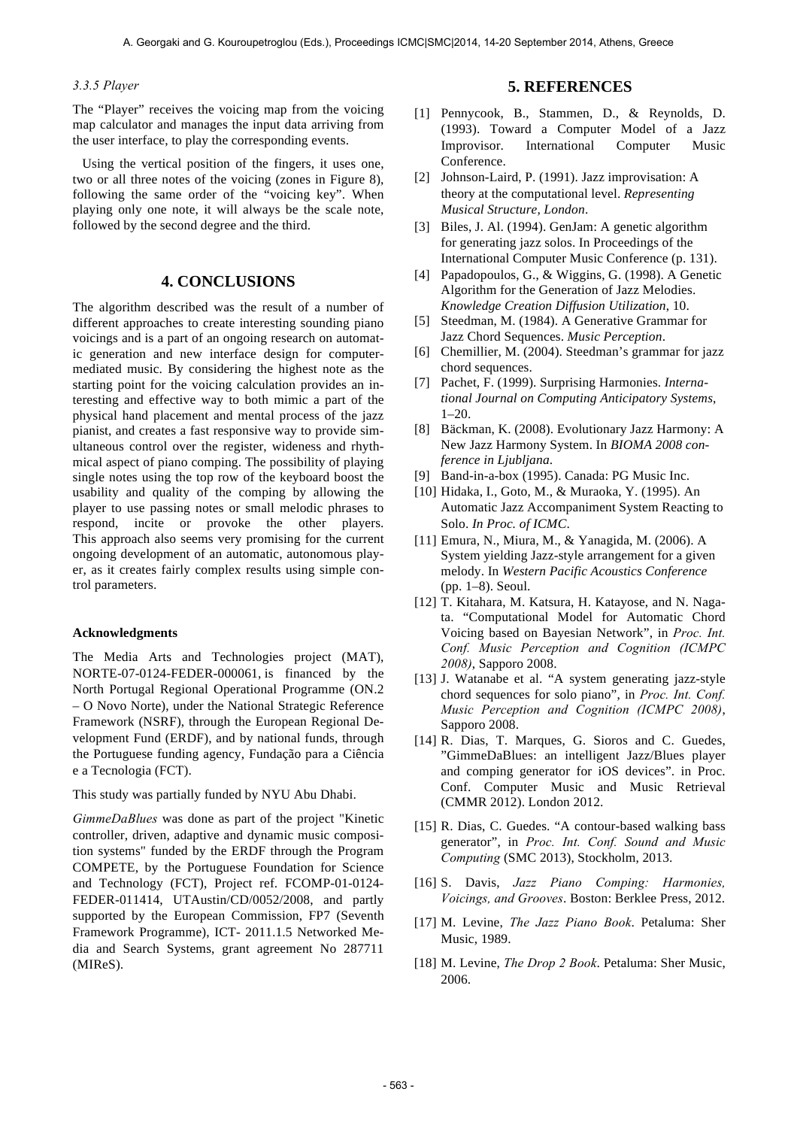# *3.3.5 Player*

The "Player" receives the voicing map from the voicing map calculator and manages the input data arriving from the user interface, to play the corresponding events.

Using the vertical position of the fingers, it uses one, two or all three notes of the voicing (zones in Figure 8), following the same order of the "voicing key". When playing only one note, it will always be the scale note, followed by the second degree and the third.

# **4. CONCLUSIONS**

The algorithm described was the result of a number of different approaches to create interesting sounding piano voicings and is a part of an ongoing research on automatic generation and new interface design for computermediated music. By considering the highest note as the starting point for the voicing calculation provides an interesting and effective way to both mimic a part of the physical hand placement and mental process of the jazz pianist, and creates a fast responsive way to provide simultaneous control over the register, wideness and rhythmical aspect of piano comping. The possibility of playing single notes using the top row of the keyboard boost the usability and quality of the comping by allowing the player to use passing notes or small melodic phrases to respond, incite or provoke the other players. This approach also seems very promising for the current ongoing development of an automatic, autonomous player, as it creates fairly complex results using simple control parameters.

#### **Acknowledgments**

The Media Arts and Technologies project (MAT), NORTE-07-0124-FEDER-000061, is financed by the North Portugal Regional Operational Programme (ON.2 – O Novo Norte), under the National Strategic Reference Framework (NSRF), through the European Regional Development Fund (ERDF), and by national funds, through the Portuguese funding agency, Fundação para a Ciência e a Tecnologia (FCT).

This study was partially funded by NYU Abu Dhabi.

*GimmeDaBlues* was done as part of the project "Kinetic controller, driven, adaptive and dynamic music composition systems" funded by the ERDF through the Program COMPETE, by the Portuguese Foundation for Science and Technology (FCT), Project ref. FCOMP-01-0124- FEDER-011414, UTAustin/CD/0052/2008, and partly supported by the European Commission, FP7 (Seventh Framework Programme), ICT- 2011.1.5 Networked Media and Search Systems, grant agreement No 287711 (MIReS).

# **5. REFERENCES**

- [1] Pennycook, B., Stammen, D., & Reynolds, D. (1993). Toward a Computer Model of a Jazz Improvisor. International Computer Music Conference.
- [2] Johnson-Laird, P. (1991). Jazz improvisation: A theory at the computational level. *Representing Musical Structure, London*.
- [3] Biles, J. Al. (1994). GenJam: A genetic algorithm for generating jazz solos. In Proceedings of the International Computer Music Conference (p. 131).
- [4] Papadopoulos, G., & Wiggins, G. (1998). A Genetic Algorithm for the Generation of Jazz Melodies. *Knowledge Creation Diffusion Utilization*, 10.
- [5] Steedman, M. (1984). A Generative Grammar for Jazz Chord Sequences. *Music Perception*.
- [6] Chemillier, M. (2004). Steedman's grammar for jazz chord sequences.
- [7] Pachet, F. (1999). Surprising Harmonies. *International Journal on Computing Anticipatory Systems*, 1–20.
- [8] Bäckman, K. (2008). Evolutionary Jazz Harmony: A New Jazz Harmony System. In *BIOMA 2008 conference in Ljubljana*.
- [9] Band-in-a-box (1995). Canada: PG Music Inc.
- [10] Hidaka, I., Goto, M., & Muraoka, Y. (1995). An Automatic Jazz Accompaniment System Reacting to Solo. *In Proc. of ICMC*.
- [11] Emura, N., Miura, M., & Yanagida, M. (2006). A System yielding Jazz-style arrangement for a given melody. In *Western Pacific Acoustics Conference* (pp. 1–8). Seoul.
- [12] T. Kitahara, M. Katsura, H. Katayose, and N. Nagata. "Computational Model for Automatic Chord Voicing based on Bayesian Network", in *Proc. Int. Conf. Music Perception and Cognition (ICMPC 2008)*, Sapporo 2008.
- [13] J. Watanabe et al. "A system generating jazz-style chord sequences for solo piano", in *Proc. Int. Conf. Music Perception and Cognition (ICMPC 2008)*, Sapporo 2008.
- [14] R. Dias, T. Marques, G. Sioros and C. Guedes, "GimmeDaBlues: an intelligent Jazz/Blues player and comping generator for iOS devices". in Proc. Conf. Computer Music and Music Retrieval (CMMR 2012). London 2012.
- [15] R. Dias, C. Guedes. "A contour-based walking bass generator", in *Proc. Int. Conf. Sound and Music Computing* (SMC 2013), Stockholm, 2013.
- [16] S. Davis, *Jazz Piano Comping: Harmonies, Voicings, and Grooves*. Boston: Berklee Press, 2012.
- [17] M. Levine, *The Jazz Piano Book*. Petaluma: Sher Music, 1989.
- [18] M. Levine, *The Drop 2 Book*. Petaluma: Sher Music, 2006.